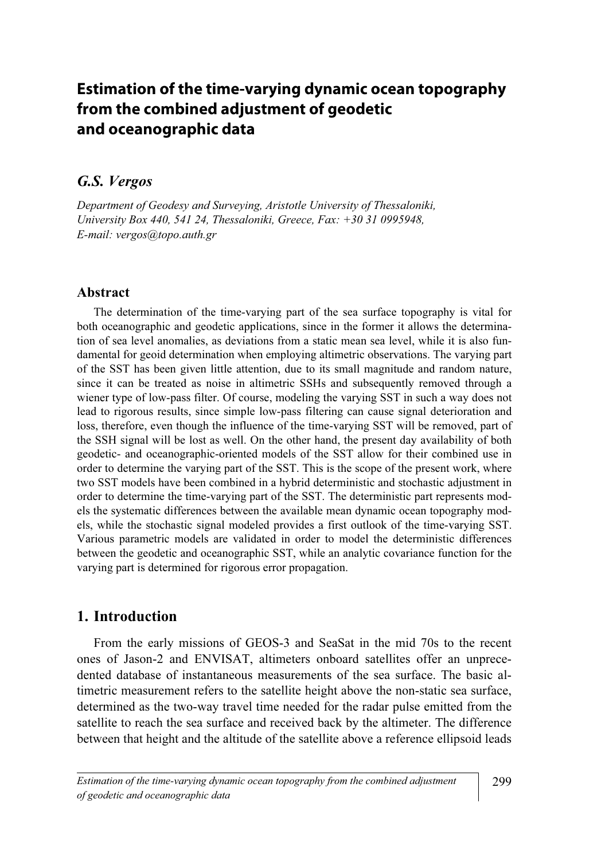## **Estimation of the time-varying dynamic ocean topography from the combined adjustment of geodetic and oceanographic data**

# $\frac{1}{\sqrt{2}}$

Department of Geodesy and Surveying, Aristotle University of Thessaloniki, University Box 440, 541 24, Thessaloniki, Greece, Fax: +30 31 0995948, E-mail: vergos@topo.auth.gr

#### Abstract

 The determination of the time-varying part of the sea surface topography is vital for both oceanographic and geodetic applications, since in the former it allows the determination of sea level anomalies, as deviations from a static mean sea level, while it is also fundamental for geoid determination when employing altimetric observations. The varying part of the SST has been given little attention, due to its small magnitude and random nature, since it can be treated as noise in altimetric SSHs and subsequently removed through a wiener type of low-pass filter. Of course, modeling the varying SST in such a way does not lead to rigorous results, since simple low-pass filtering can cause signal deterioration and loss, therefore, even though the influence of the time-varying SST will be removed, part of the SSH signal will be lost as well. On the other hand, the present day availability of both geodetic- and oceanographic-oriented models of the SST allow for their combined use in order to determine the varying part of the SST. This is the scope of the present work, where two SST models have been combined in a hybrid deterministic and stochastic adjustment in order to determine the time-varying part of the SST. The deterministic part represents models the systematic differences between the available mean dynamic ocean topography models, while the stochastic signal modeled provides a first outlook of the time-varying SST. Various parametric models are validated in order to model the deterministic differences between the geodetic and oceanographic SST, while an analytic covariance function for the varying part is determined for rigorous error propagation.

### 1. Introduction

 From the early missions of GEOS-3 and SeaSat in the mid 70s to the recent ones of Jason-2 and ENVISAT, altimeters onboard satellites offer an unprecedented database of instantaneous measurements of the sea surface. The basic altimetric measurement refers to the satellite height above the non-static sea surface, determined as the two-way travel time needed for the radar pulse emitted from the satellite to reach the sea surface and received back by the altimeter. The difference between that height and the altitude of the satellite above a reference ellipsoid leads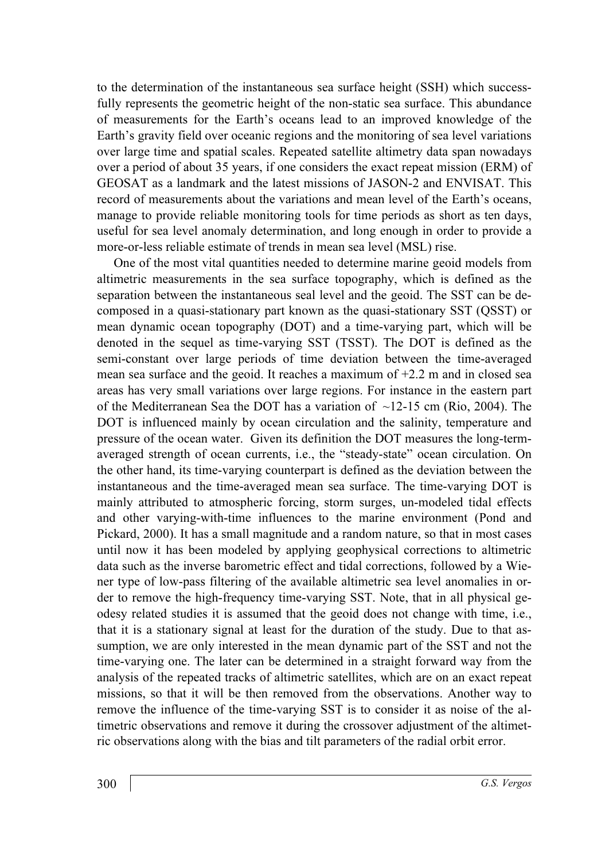to the determination of the instantaneous sea surface height (SSH) which successfully represents the geometric height of the non-static sea surface. This abundance of measurements for the Earth's oceans lead to an improved knowledge of the Earth's gravity field over oceanic regions and the monitoring of sea level variations over large time and spatial scales. Repeated satellite altimetry data span nowadays over a period of about 35 years, if one considers the exact repeat mission (ERM) of GEOSAT as a landmark and the latest missions of JASON-2 and ENVISAT. This record of measurements about the variations and mean level of the Earth's oceans, manage to provide reliable monitoring tools for time periods as short as ten days, useful for sea level anomaly determination, and long enough in order to provide a more-or-less reliable estimate of trends in mean sea level (MSL) rise.

 One of the most vital quantities needed to determine marine geoid models from altimetric measurements in the sea surface topography, which is defined as the separation between the instantaneous seal level and the geoid. The SST can be decomposed in a quasi-stationary part known as the quasi-stationary SST (QSST) or mean dynamic ocean topography (DOT) and a time-varying part, which will be denoted in the sequel as time-varying SST (TSST). The DOT is defined as the semi-constant over large periods of time deviation between the time-averaged mean sea surface and the geoid. It reaches a maximum of +2.2 m and in closed sea areas has very small variations over large regions. For instance in the eastern part of the Mediterranean Sea the DOT has a variation of  $\sim$ 12-15 cm (Rio, 2004). The DOT is influenced mainly by ocean circulation and the salinity, temperature and pressure of the ocean water. Given its definition the DOT measures the long-termaveraged strength of ocean currents, i.e., the "steady-state" ocean circulation. On the other hand, its time-varying counterpart is defined as the deviation between the instantaneous and the time-averaged mean sea surface. The time-varying DOT is mainly attributed to atmospheric forcing, storm surges, un-modeled tidal effects and other varying-with-time influences to the marine environment (Pond and Pickard, 2000). It has a small magnitude and a random nature, so that in most cases until now it has been modeled by applying geophysical corrections to altimetric data such as the inverse barometric effect and tidal corrections, followed by a Wiener type of low-pass filtering of the available altimetric sea level anomalies in order to remove the high-frequency time-varying SST. Note, that in all physical geodesy related studies it is assumed that the geoid does not change with time, i.e., that it is a stationary signal at least for the duration of the study. Due to that assumption, we are only interested in the mean dynamic part of the SST and not the time-varying one. The later can be determined in a straight forward way from the analysis of the repeated tracks of altimetric satellites, which are on an exact repeat missions, so that it will be then removed from the observations. Another way to remove the influence of the time-varying SST is to consider it as noise of the altimetric observations and remove it during the crossover adjustment of the altimetric observations along with the bias and tilt parameters of the radial orbit error.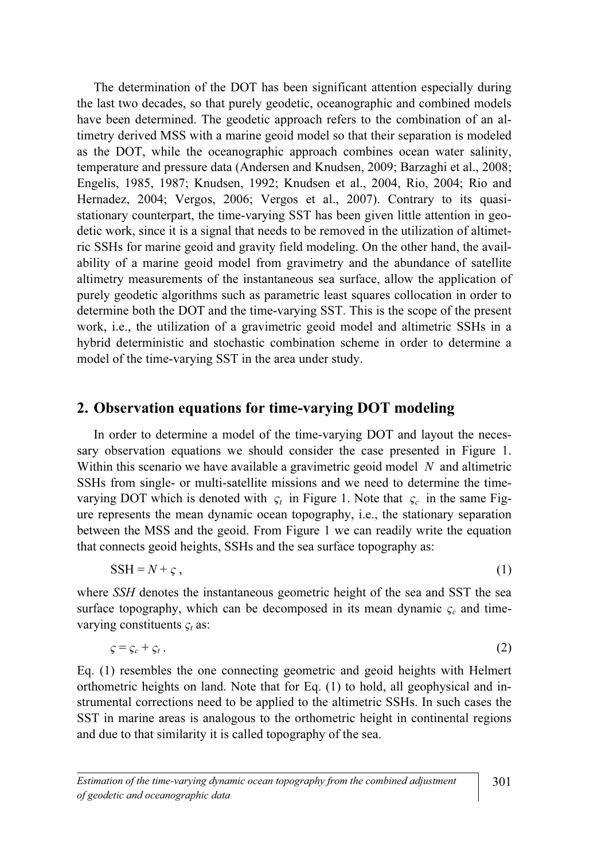The determination of the DOT has been significant attention especially during the last two decades, so that purely geodetic, oceanographic and combined models have been determined. The geodetic approach refers to the combination of an altimetry derived MSS with a marine geoid model so that their separation is modeled as the DOT, while the oceanographic approach combines ocean water salinity, temperature and pressure data (Andersen and Knudsen, 2009; Barzaghi et al., 2008; Engelis, 1985, 1987; Knudsen, 1992; Knudsen et al., 2004, Rio, 2004; Rio and Hernadez, 2004; Vergos, 2006; Vergos et al., 2007). Contrary to its quasistationary counterpart, the time-varying SST has been given little attention in geodetic work, since it is a signal that needs to be removed in the utilization of altimetric SSHs for marine geoid and gravity field modeling. On the other hand, the availability of a marine geoid model from gravimetry and the abundance of satellite altimetry measurements of the instantaneous sea surface, allow the application of purely geodetic algorithms such as parametric least squares collocation in order to determine both the DOT and the time-varying SST. This is the scope of the present work, i.e., the utilization of a gravimetric geoid model and altimetric SSHs in a hybrid deterministic and stochastic combination scheme in order to determine a model of the time-varying SST in the area under study.

#### 2. Observation equations for time-varying DOT modeling

 In order to determine a model of the time-varying DOT and layout the necessary observation equations we should consider the case presented in Figure 1. Within this scenario we have available a gravimetric geoid model  $N$  and altimetric SSHs from single- or multi-satellite missions and we need to determine the timevarying DOT which is denoted with  $\varsigma_t$  in Figure 1. Note that  $\varsigma_c$  in the same Figure represents the mean dynamic ocean topography, i.e., the stationary separation between the MSS and the geoid. From Figure 1 we can readily write the equation that connects geoid heights, SSHs and the sea surface topography as:

$$
SSH = N + \varsigma, \tag{1}
$$

where SSH denotes the instantaneous geometric height of the sea and SST the sea surface topography, which can be decomposed in its mean dynamic  $\varsigma_c$  and timevarying constituents  $\varsigma_t$  as:

$$
\zeta = \zeta_c + \zeta_t \,. \tag{2}
$$

Eq. (1) resembles the one connecting geometric and geoid heights with Helmert orthometric heights on land. Note that for Eq. (1) to hold, all geophysical and instrumental corrections need to be applied to the altimetric SSHs. In such cases the SST in marine areas is analogous to the orthometric height in continental regions and due to that similarity it is called topography of the sea.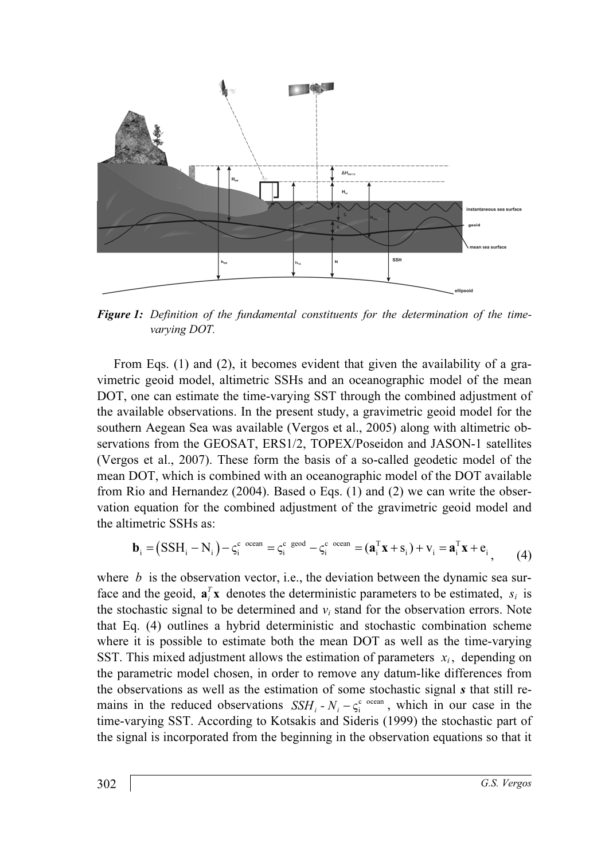

**Figure 1:** Definition of the fundamental constituents for the determination of the timevarying DOT.

 From Eqs. (1) and (2), it becomes evident that given the availability of a gravimetric geoid model, altimetric SSHs and an oceanographic model of the mean DOT, one can estimate the time-varying SST through the combined adjustment of the available observations. In the present study, a gravimetric geoid model for the southern Aegean Sea was available (Vergos et al., 2005) along with altimetric observations from the GEOSAT, ERS1/2, TOPEX/Poseidon and JASON-1 satellites (Vergos et al., 2007). These form the basis of a so-called geodetic model of the mean DOT, which is combined with an oceanographic model of the DOT available from Rio and Hernandez (2004). Based o Eqs. (1) and (2) we can write the observation equation for the combined adjustment of the gravimetric geoid model and the altimetric SSHs as:

$$
\mathbf{b}_{i} = (SSH_{i} - N_{i}) - \zeta_{i}^{c} \text{ ocean} = \zeta_{i}^{c} \text{ geod} - \zeta_{i}^{c} \text{ ocean} = (\mathbf{a}_{i}^{T} \mathbf{x} + \mathbf{s}_{i}) + \mathbf{v}_{i} = \mathbf{a}_{i}^{T} \mathbf{x} + \mathbf{e}_{i}, \qquad (4)
$$

where  $b$  is the observation vector, i.e., the deviation between the dynamic sea surface and the geoid,  $\mathbf{a}_i^T \mathbf{x}$  denotes the deterministic parameters to be estimated,  $s_i$  is the stochastic signal to be determined and  $v_i$  stand for the observation errors. Note that Eq. (4) outlines a hybrid deterministic and stochastic combination scheme where it is possible to estimate both the mean DOT as well as the time-varying SST. This mixed adjustment allows the estimation of parameters  $x_i$ , depending on the parametric model chosen, in order to remove any datum-like differences from the observations as well as the estimation of some stochastic signal s that still rewhere it is possible to estimate both the mean DOT as well as the time-varying SST. This mixed adjustment allows the estimation of parameters  $x_i$ , depending on the parametric model chosen, in order to remove any datum-li time-varying SST. According to Kotsakis and Sideris (1999) the stochastic part of the signal is incorporated from the beginning in the observation equations so that it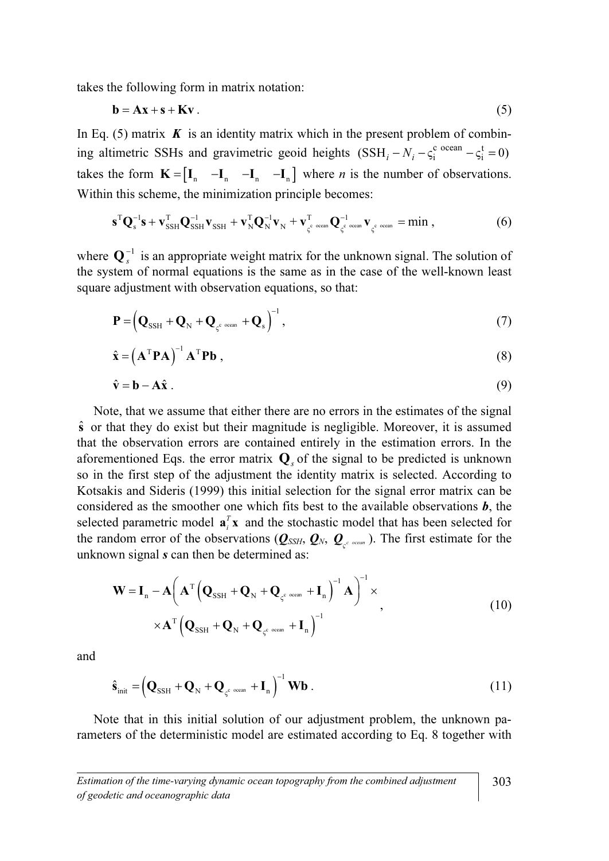takes the following form in matrix notation:

$$
\mathbf{b} = \mathbf{A}\mathbf{x} + \mathbf{s} + \mathbf{K}\mathbf{v} \tag{5}
$$

In Eq. (5) matrix  $\boldsymbol{K}$  is an identity matrix which in the present problem of combining altimetric SSHs and gravimetric geoid heights  $(SSH_i - N_i - \zeta_i^c \text{ ocean} - \zeta_i^t = 0)$ takes the form  $\mathbf{K} = \begin{bmatrix} \mathbf{I}_n & -\mathbf{I}_n & -\mathbf{I}_n \end{bmatrix}$  where *n* is the number of observations. Within this scheme, the minimization principle becomes: this scheme, the minimization principle becomes:<br> $\mathbf{s}^{\mathrm{T}} \mathbf{Q}_{\mathrm{s}}^{-1} \mathbf{s} + \mathbf{v}_{\mathrm{SSH}}^{\mathrm{T}} \mathbf{Q}_{\mathrm{SSH}}^{-1} \mathbf{v}_{\mathrm{SSH}} + \mathbf{v}_{\mathrm{N}}^{\mathrm{T}} \mathbf{Q}_{\mathrm{N}}^{-1} \mathbf{v}_{\mathrm{N}} + \mathbf{v}_{\varsigma^{\mathrm{c}} \mathrm{ ocean}}^{\mathrm{T}} \mathbf{Q}_{\varsigma^{\mathrm{c}} \mathrm{ ocean}}^{-1} \mathbf{v}_{\varsigma^$ 

$$
\mathbf{s}^{\mathrm{T}}\mathbf{Q}_{\mathrm{s}}^{-1}\mathbf{s}+\mathbf{v}_{\mathrm{SSH}}^{\mathrm{T}}\mathbf{Q}_{\mathrm{SSH}}^{-1}\mathbf{v}_{\mathrm{SSH}}+\mathbf{v}_{\mathrm{N}}^{\mathrm{T}}\mathbf{Q}_{\mathrm{N}}^{-1}\mathbf{v}_{\mathrm{N}}+\mathbf{v}_{\varsigma^{\mathrm{c}\ \mathrm{ocam}}}\mathbf{Q}_{\varsigma^{\mathrm{c}\ \mathrm{ocam}}}^{-1}\mathbf{v}_{\varsigma^{\mathrm{c}\ \mathrm{ocam}}}}=\min\,,\tag{6}
$$

where  $\mathbf{Q}_s^{-1}$  is an appropriate weight matrix for the unknown signal. The solution of the system of normal equations is the same as in the case of the well-known least square adjustment with observation equations, so that:

$$
\hat{\mathbf{r}} = \left(\mathbf{Q}_{\text{SSH}} + \mathbf{Q}_{\text{N}} + \mathbf{Q}_{\varsigma^{\text{c ocean}}} + \mathbf{Q}_{\text{s}}\right)^{-1},\tag{7}
$$
\n
$$
\hat{\mathbf{x}} = \left(\mathbf{A}^{\text{T}} \mathbf{P} \mathbf{A}\right)^{-1} \mathbf{A}^{\text{T}} \mathbf{P} \mathbf{b},\tag{8}
$$

$$
\hat{\mathbf{x}} = (\mathbf{A}^{\mathrm{T}} \mathbf{P} \mathbf{A})^{-1} \mathbf{A}^{\mathrm{T}} \mathbf{P} \mathbf{b} ,
$$
  
(8)  

$$
\hat{\mathbf{v}} = \mathbf{b} - \mathbf{A} \hat{\mathbf{x}} .
$$
 (9)

$$
\hat{\mathbf{v}} = \mathbf{b} - \mathbf{A}\hat{\mathbf{x}} \tag{9}
$$

 Note, that we assume that either there are no errors in the estimates of the signal  $\hat{\mathbf{s}}$  or that they do exist but their magnitude is negligible. Moreover, it is assumed that the observation errors are contained entirely in the estimation errors. In the aforementioned Eqs. the error matrix  $\mathbf{Q}_s$  of the signal to be predicted is unknown so in the first step of the adjustment the identity matrix is selected. According to Kotsakis and Sideris (1999) this initial selection for the signal error matrix can be considered as the smoother one which fits best to the available observations **, the** selected parametric model  $\mathbf{a}_i^T \mathbf{x}$  and the stochastic model that has been selected for the random error of the observations ( $Q_{SSH}$ ,  $Q_N$ ,  $Q_{c}$ ,  $Q_{c}$ ,  $Q_{c}$ ). The first estimate for the unknown signal *s* can then be determined as: unknown signal s can then be determined as:

$$
\mathbf{W} = \mathbf{I}_{n} - \mathbf{A} \left( \mathbf{A}^{T} \left( \mathbf{Q}_{\text{SSH}} + \mathbf{Q}_{N} + \mathbf{Q}_{\varsigma^{c \text{ ocean}}} + \mathbf{I}_{n} \right)^{-1} \mathbf{A} \right)^{-1} \times \mathbf{A}^{T} \left( \mathbf{Q}_{\text{SSH}} + \mathbf{Q}_{N} + \mathbf{Q}_{\varsigma^{c \text{ ocean}}} + \mathbf{I}_{n} \right)^{-1}, \qquad (10)
$$

and

$$
\hat{\mathbf{s}}_{\text{init}} = \left(\mathbf{Q}_{\text{SSH}} + \mathbf{Q}_{N} + \mathbf{Q}_{\varsigma^{\text{c ocean}}} + \mathbf{I}_{n}\right)^{-1} \mathbf{W} \mathbf{b} .
$$
\n(11)

 Note that in this initial solution of our adjustment problem, the unknown parameters of the deterministic model are estimated according to Eq. 8 together with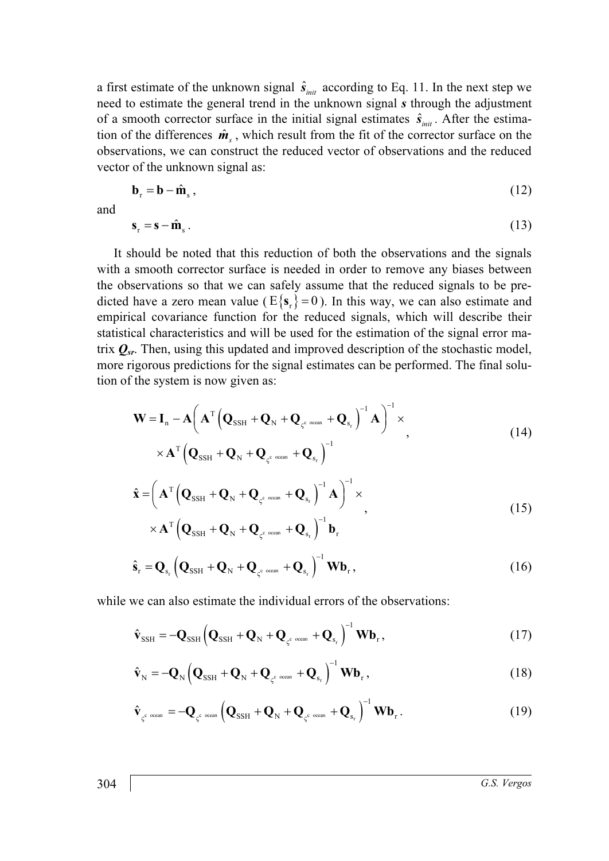a first estimate of the unknown signal  $\hat{s}_{\text{init}}$  according to Eq. 11. In the next step we need to estimate the general trend in the unknown signal s through the adjustment a first estimate of the unknown signal  $\hat{s}_{init}$  according to Eq. 11 need to estimate the general trend in the unknown signal *s* the of a smooth corrector surface in the initial signal estimates  $\hat{s}$  $\hat{s}_{\text{init}}$ . After the estimaa first estimate of the unknown signal  $s_{init}$  according to Eq. 11. In the next step we need to estimate the general trend in the unknown signal *s* through the adjustment of a smooth corrector surface in the initial signa observations, we can construct the reduced vector of observations and the reduced vector of the unknown signal as:<br>  $\mathbf{b}_r = \mathbf{b} - \hat{\mathbf{m}}_s$ , (12) vector of the unknown signal as:

$$
\mathbf{b}_{\mathrm{r}} = \mathbf{b} - \hat{\mathbf{m}}_{\mathrm{s}},
$$
\n
$$
\mathbf{s}_{\mathrm{r}} = \mathbf{s} - \hat{\mathbf{m}}_{\mathrm{s}}.
$$
\n(12)

and

$$
\mathbf{r}_s = \mathbf{s} - \hat{\mathbf{m}}_s. \tag{13}
$$

 It should be noted that this reduction of both the observations and the signals with a smooth corrector surface is needed in order to remove any biases between the observations so that we can safely assume that the reduced signals to be predicted have a zero mean value ( $E{\lbrace s_r \rbrace} = 0$ ). In this way, we can also estimate and empirical covariance function for the reduced signals, which will describe their statistical characteristics and will be used for the estimation of the signal error matrix  $Q_{sr}$ . Then, using this updated and improved description of the stochastic model, more rigorous predictions for the signal estimates can be performed. The final solution of the system is now given as:  $-\frac{1}{2}$ 

$$
\mathbf{W} = \mathbf{I}_{n} - \mathbf{A} \left( \mathbf{A}^{T} \left( \mathbf{Q}_{\text{SSH}} + \mathbf{Q}_{N} + \mathbf{Q}_{\varsigma^{c \text{ ocean}}} + \mathbf{Q}_{s_{r}} \right)^{-1} \mathbf{A} \right)^{-1} \times \mathbf{A}^{T} \left( \mathbf{Q}_{\text{SSH}} + \mathbf{Q}_{N} + \mathbf{Q}_{\varsigma^{c \text{ ocean}}} + \mathbf{Q}_{s_{r}} \right)^{-1}
$$
\n
$$
\left( 14 \right)
$$

$$
\hat{\mathbf{x}} = \left( \mathbf{A}^{\mathrm{T}} \left( \mathbf{Q}_{\mathrm{SSH}} + \mathbf{Q}_{\mathrm{N}} + \mathbf{Q}_{\varsigma^{\mathrm{c}\ \mathrm{ocem}}} + \mathbf{Q}_{\mathrm{s}_{\mathrm{r}}} \right)^{-1} \mathbf{A} \right)^{-1} \times \times \mathbf{A}^{\mathrm{T}} \left( \mathbf{Q}_{\mathrm{SSH}} + \mathbf{Q}_{\mathrm{N}} + \mathbf{Q}_{\varsigma^{\mathrm{c}\ \mathrm{ocem}}} + \mathbf{Q}_{\mathrm{s}_{\mathrm{r}}} \right)^{-1} \mathbf{b}_{\mathrm{r}}
$$
\n(15)

$$
\times \mathbf{A}^{\mathrm{T}} \left( \mathbf{Q}_{\mathrm{SSH}} + \mathbf{Q}_{\mathrm{N}} + \mathbf{Q}_{\varsigma^{\mathrm{c}\ \mathrm{ocem}}} + \mathbf{Q}_{\mathrm{s}_r} \right)^{-1} \mathbf{b}_r
$$
  

$$
\hat{\mathbf{s}}_{\mathrm{r}} = \mathbf{Q}_{\mathrm{s}_r} \left( \mathbf{Q}_{\mathrm{SSH}} + \mathbf{Q}_{\mathrm{N}} + \mathbf{Q}_{\varsigma^{\mathrm{c}\ \mathrm{ocem}}} + \mathbf{Q}_{\mathrm{s}_r} \right)^{-1} \mathbf{W} \mathbf{b}_r, \qquad (16)
$$

while we can also estimate the individual errors of the observations:

we can also estimate the individual errors of the observations:  
\n
$$
\hat{\mathbf{v}}_{\text{SSH}} = -\mathbf{Q}_{\text{SSH}} \left( \mathbf{Q}_{\text{SSH}} + \mathbf{Q}_{\text{N}} + \mathbf{Q}_{\varsigma^c \text{ ocean}} + \mathbf{Q}_{\varsigma_r} \right)^{-1} \mathbf{W} \mathbf{b}_{\text{r}},
$$
\n(17)  
\n
$$
\hat{\mathbf{v}}_{\text{N}} = -\mathbf{Q}_{\text{N}} \left( \mathbf{Q}_{\text{SSH}} + \mathbf{Q}_{\text{N}} + \mathbf{Q}_{\varsigma^c \text{ ocean}} + \mathbf{Q}_{\varsigma_r} \right)^{-1} \mathbf{W} \mathbf{b}_{\text{r}},
$$
\n(18)

$$
\hat{\mathbf{v}}_{N} = -\mathbf{Q}_{N} \left( \mathbf{Q}_{SSH} + \mathbf{Q}_{N} + \mathbf{Q}_{\varsigma^{c \text{ ocean}}} + \mathbf{Q}_{s_{r}} \right)^{-1} \mathbf{W} \mathbf{b}_{r},
$$
\n(18)\n
$$
\hat{\mathbf{v}}_{\varsigma^{c \text{ ocean}}} = -\mathbf{Q}_{\varsigma^{c \text{ ocean}}} \left( \mathbf{Q}_{SSH} + \mathbf{Q}_{N} + \mathbf{Q}_{\varsigma^{c \text{ ocean}}} + \mathbf{Q}_{s_{r}} \right)^{-1} \mathbf{W} \mathbf{b}_{r}.
$$

$$
\hat{\mathbf{v}}_{\varsigma^{\text{c ocean}}} = -\mathbf{Q}_{\varsigma^{\text{c ocean}}} \left( \mathbf{Q}_{\text{SSH}} + \mathbf{Q}_{\text{N}} + \mathbf{Q}_{\varsigma^{\text{c ocean}}} + \mathbf{Q}_{\text{s}_r} \right)^{-1} \mathbf{W} \mathbf{b}_r. \tag{19}
$$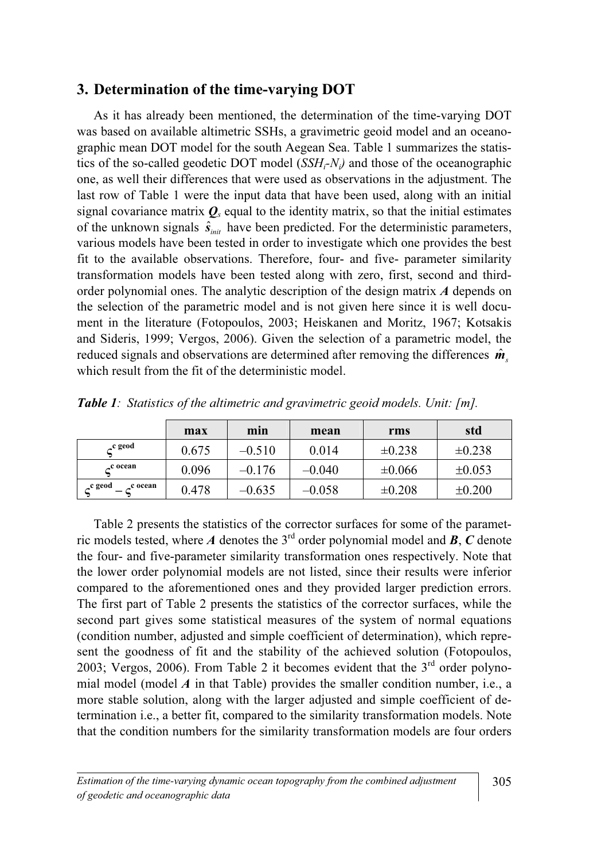### 3. Determination of the time-varying DOT

 As it has already been mentioned, the determination of the time-varying DOT was based on available altimetric SSHs, a gravimetric geoid model and an oceanographic mean DOT model for the south Aegean Sea. Table 1 summarizes the statistics of the so-called geodetic DOT model  $(SSH_i-N_i)$  and those of the oceanographic one, as well their differences that were used as observations in the adjustment. The last row of Table 1 were the input data that have been used, along with an initial signal covariance matrix  $\mathbf{Q}_s$  equal to the identity matrix, so that the initial estimates one, as well their differences that were used as observations in the adjustment. The last row of Table 1 were the input data that have been used, along with an initial signal covariance matrix  $Q_s$  equal to the identity m various models have been tested in order to investigate which one provides the best fit to the available observations. Therefore, four- and five- parameter similarity transformation models have been tested along with zero, first, second and thirdorder polynomial ones. The analytic description of the design matrix A depends on the selection of the parametric model and is not given here since it is well document in the literature (Fotopoulos, 2003; Heiskanen and Moritz, 1967; Kotsakis and Sideris, 1999; Vergos, 2006). Given the selection of a parametric model, the the selection of the parametric model and is not given here since it is well document in the literature (Fotopoulos, 2003; Heiskanen and Moritz, 1967; Kotsakis and Sideris, 1999; Vergos, 2006). Given the selection of a pa which result from the fit of the deterministic model.

|                                | max   | min      | mean     | rms         | std         |
|--------------------------------|-------|----------|----------|-------------|-------------|
| <sub>c</sub> c geod            | 0.675 | $-0.510$ | 0.014    | $\pm 0.238$ | $\pm 0.238$ |
| c ocean                        | 0.096 | $-0.176$ | $-0.040$ | $\pm 0.066$ | $\pm 0.053$ |
| <sub>-</sub> c geod<br>c ocean | 0.478 | $-0.635$ | $-0.058$ | $\pm 0.208$ | $\pm 0.200$ |

Table 1: Statistics of the altimetric and gravimetric geoid models. Unit: [m].

 Table 2 presents the statistics of the corrector surfaces for some of the parametric models tested, where A denotes the 3<sup>rd</sup> order polynomial model and **B**, C denote the four- and five-parameter similarity transformation ones respectively. Note that the lower order polynomial models are not listed, since their results were inferior compared to the aforementioned ones and they provided larger prediction errors. The first part of Table 2 presents the statistics of the corrector surfaces, while the second part gives some statistical measures of the system of normal equations (condition number, adjusted and simple coefficient of determination), which represent the goodness of fit and the stability of the achieved solution (Fotopoulos, 2003; Vergos, 2006). From Table 2 it becomes evident that the  $3<sup>rd</sup>$  order polynomial model (model  $\vec{A}$  in that Table) provides the smaller condition number, i.e., a more stable solution, along with the larger adjusted and simple coefficient of determination i.e., a better fit, compared to the similarity transformation models. Note that the condition numbers for the similarity transformation models are four orders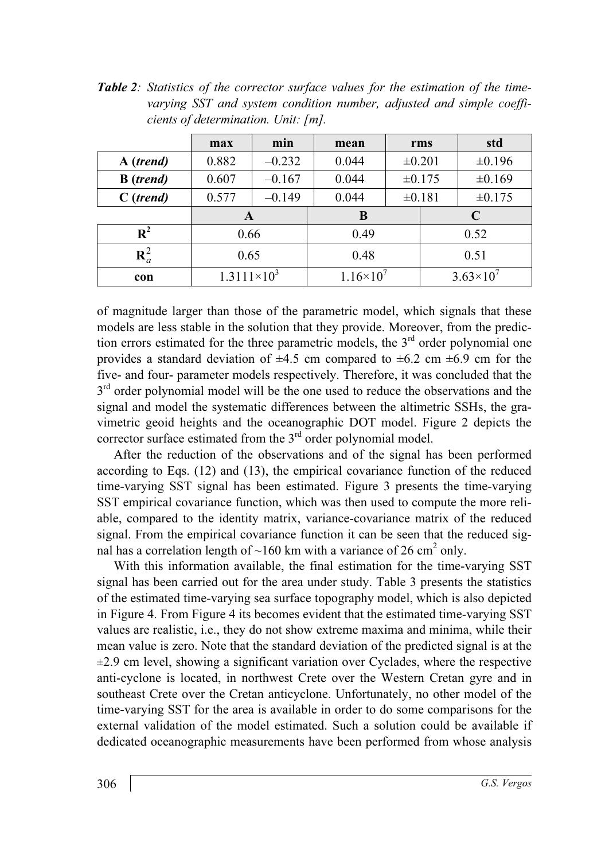Table 2: Statistics of the corrector surface values for the estimation of the timevarying SST and system condition number, adjusted and simple coefficients of determination. Unit: [m].

|                           | max                  | min      | mean              |             | rms                | std         |
|---------------------------|----------------------|----------|-------------------|-------------|--------------------|-------------|
| A (trend)                 | 0.882                | $-0.232$ | 0.044             | $\pm 0.201$ |                    | $\pm 0.196$ |
| <b>B</b> ( <i>trend</i> ) | 0.607                | $-0.167$ | 0.044             | ±0.175      |                    | ±0.169      |
| $C$ ( <i>trend</i> )      | 0.577                | $-0.149$ | 0.044             |             | ±0.181             | $\pm 0.175$ |
|                           | A                    |          | B                 |             | C                  |             |
| $\mathbf{R}^2$            | 0.66                 |          | 0.49              |             | 0.52               |             |
| $\mathbf{R}_a^2$          | 0.65                 |          | 0.48              |             | 0.51               |             |
| con                       | $1.3111\times10^{3}$ |          | $1.16 \times 10'$ |             | $3.63\times10^{7}$ |             |

of magnitude larger than those of the parametric model, which signals that these models are less stable in the solution that they provide. Moreover, from the prediction errors estimated for the three parametric models, the  $3<sup>rd</sup>$  order polynomial one provides a standard deviation of  $\pm 4.5$  cm compared to  $\pm 6.2$  cm  $\pm 6.9$  cm for the five- and four- parameter models respectively. Therefore, it was concluded that the  $3<sup>rd</sup>$  order polynomial model will be the one used to reduce the observations and the signal and model the systematic differences between the altimetric SSHs, the gravimetric geoid heights and the oceanographic DOT model. Figure 2 depicts the corrector surface estimated from the 3<sup>rd</sup> order polynomial model.

 After the reduction of the observations and of the signal has been performed according to Eqs. (12) and (13), the empirical covariance function of the reduced time-varying SST signal has been estimated. Figure 3 presents the time-varying SST empirical covariance function, which was then used to compute the more reliable, compared to the identity matrix, variance-covariance matrix of the reduced signal. From the empirical covariance function it can be seen that the reduced signal has a correlation length of  $\sim$ 160 km with a variance of 26 cm<sup>2</sup> only.

 With this information available, the final estimation for the time-varying SST signal has been carried out for the area under study. Table 3 presents the statistics of the estimated time-varying sea surface topography model, which is also depicted in Figure 4. From Figure 4 its becomes evident that the estimated time-varying SST values are realistic, i.e., they do not show extreme maxima and minima, while their mean value is zero. Note that the standard deviation of the predicted signal is at the  $\pm$ 2.9 cm level, showing a significant variation over Cyclades, where the respective anti-cyclone is located, in northwest Crete over the Western Cretan gyre and in southeast Crete over the Cretan anticyclone. Unfortunately, no other model of the time-varying SST for the area is available in order to do some comparisons for the external validation of the model estimated. Such a solution could be available if dedicated oceanographic measurements have been performed from whose analysis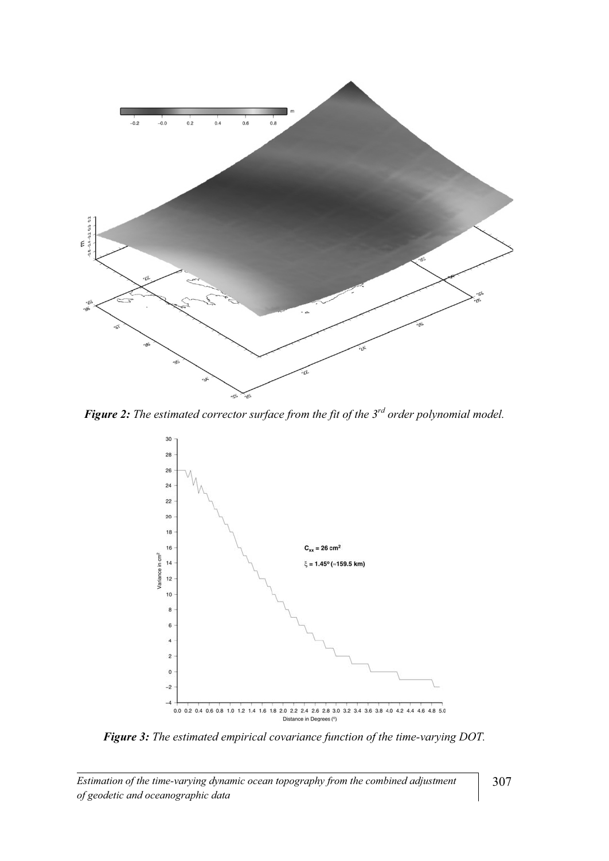

Figure 2: The estimated corrector surface from the fit of the  $3^{rd}$  order polynomial model.



Figure 3: The estimated empirical covariance function of the time-varying DOT.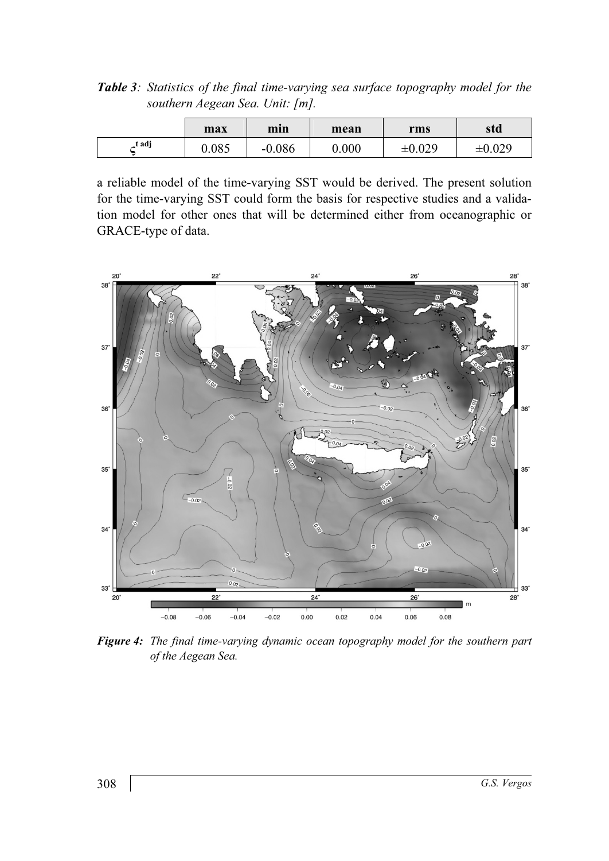Table 3: Statistics of the final time-varying sea surface topography model for the southern Aegean Sea. Unit: [m].

|       | max   | min      | mean  | rms    | std         |
|-------|-------|----------|-------|--------|-------------|
| t adj | 0.085 | $-0.086$ | 0.000 | ±0.029 | $\pm 0.029$ |

a reliable model of the time-varying SST would be derived. The present solution for the time-varying SST could form the basis for respective studies and a validation model for other ones that will be determined either from oceanographic or GRACE-type of data.



Figure 4: The final time-varying dynamic ocean topography model for the southern part of the Aegean Sea.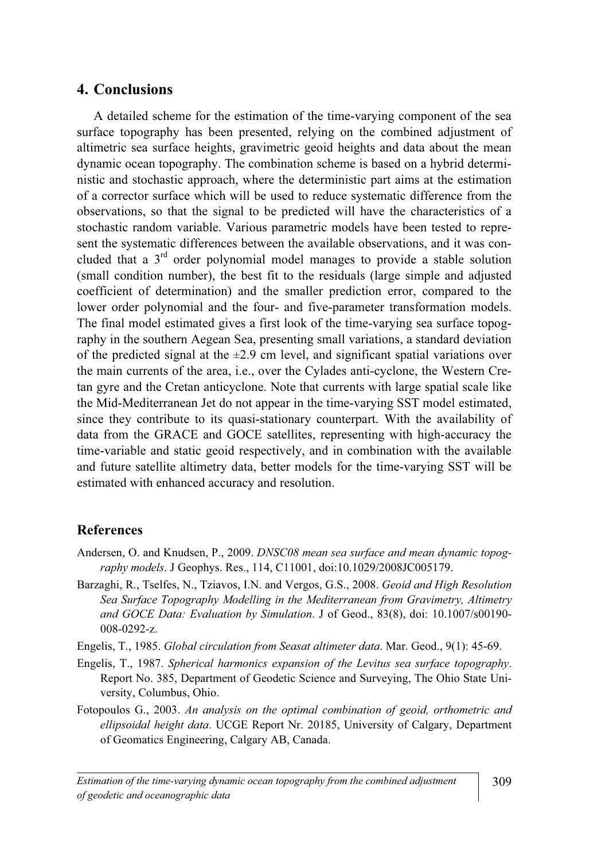# 4. Conclusions

 A detailed scheme for the estimation of the time-varying component of the sea surface topography has been presented, relying on the combined adjustment of altimetric sea surface heights, gravimetric geoid heights and data about the mean dynamic ocean topography. The combination scheme is based on a hybrid deterministic and stochastic approach, where the deterministic part aims at the estimation of a corrector surface which will be used to reduce systematic difference from the observations, so that the signal to be predicted will have the characteristics of a stochastic random variable. Various parametric models have been tested to represent the systematic differences between the available observations, and it was concluded that a 3rd order polynomial model manages to provide a stable solution (small condition number), the best fit to the residuals (large simple and adjusted coefficient of determination) and the smaller prediction error, compared to the lower order polynomial and the four- and five-parameter transformation models. The final model estimated gives a first look of the time-varying sea surface topography in the southern Aegean Sea, presenting small variations, a standard deviation of the predicted signal at the  $\pm 2.9$  cm level, and significant spatial variations over the main currents of the area, i.e., over the Cylades anti-cyclone, the Western Cretan gyre and the Cretan anticyclone. Note that currents with large spatial scale like the Mid-Mediterranean Jet do not appear in the time-varying SST model estimated, since they contribute to its quasi-stationary counterpart. With the availability of data from the GRACE and GOCE satellites, representing with high-accuracy the time-variable and static geoid respectively, and in combination with the available and future satellite altimetry data, better models for the time-varying SST will be estimated with enhanced accuracy and resolution.

#### References

- Andersen, O. and Knudsen, P., 2009. *DNSC08 mean sea surface and mean dynamic topog*raphy models. J Geophys. Res., 114, C11001, doi:10.1029/2008JC005179.
- Barzaghi, R., Tselfes, N., Tziavos, I.N. and Vergos, G.S., 2008. Geoid and High Resolution Sea Surface Topography Modelling in the Mediterranean from Gravimetry, Altimetry and GOCE Data: Evaluation by Simulation. J of Geod., 83(8), doi: 10.1007/s00190- 008-0292-z.
- Engelis, T., 1985. Global circulation from Seasat altimeter data. Mar. Geod., 9(1): 45-69.
- Engelis, T., 1987. Spherical harmonics expansion of the Levitus sea surface topography. Report No. 385, Department of Geodetic Science and Surveying, The Ohio State University, Columbus, Ohio.
- Fotopoulos G., 2003. An analysis on the optimal combination of geoid, orthometric and ellipsoidal height data. UCGE Report Nr. 20185, University of Calgary, Department of Geomatics Engineering, Calgary AB, Canada.